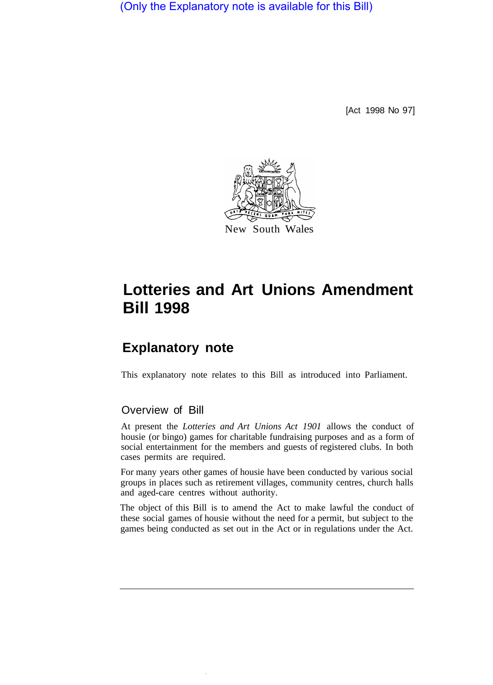(Only the Explanatory note is available for this Bill)

[Act 1998 No 97]



# **Lotteries and Art Unions Amendment Bill 1998**

## **Explanatory note**

This explanatory note relates to this Bill as introduced into Parliament.

#### Overview of Bill

At present the *Lotteries and Art Unions Act 1901* allows the conduct of housie (or bingo) games for charitable fundraising purposes and as a form of social entertainment for the members and guests of registered clubs. In both cases permits are required.

For many years other games of housie have been conducted by various social groups in places such as retirement villages, community centres, church halls and aged-care centres without authority.

The object of this Bill is to amend the Act to make lawful the conduct of these social games of housie without the need for a permit, but subject to the games being conducted as set out in the Act or in regulations under the Act.